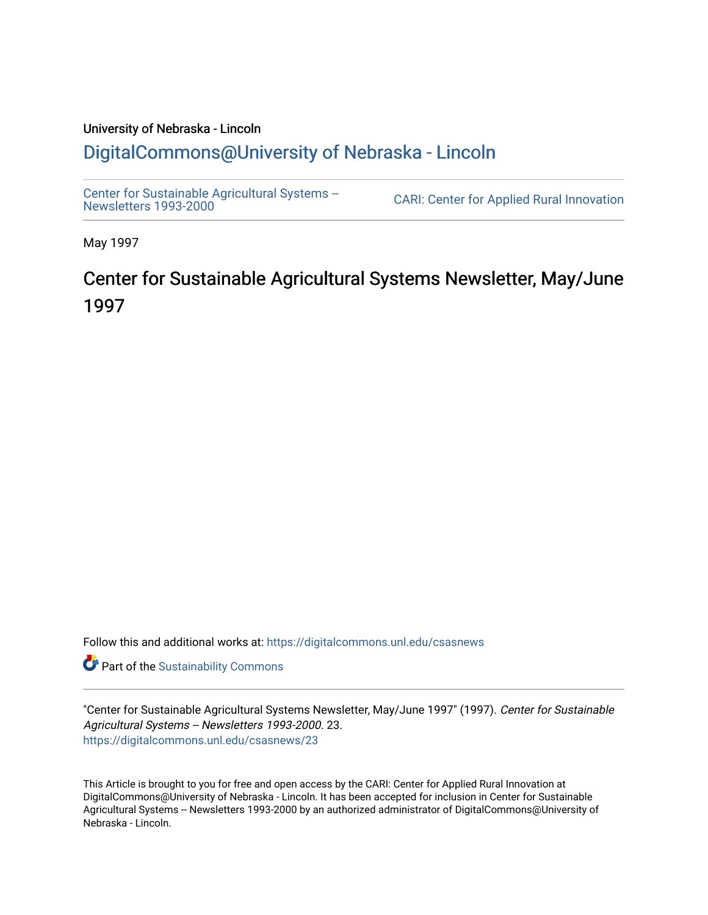# University of Nebraska - Lincoln [DigitalCommons@University of Nebraska - Lincoln](https://digitalcommons.unl.edu/)

[Center for Sustainable Agricultural Systems --](https://digitalcommons.unl.edu/csasnews)<br>Newsletters 1993-2000

CARI: Center for Applied Rural Innovation

May 1997

# Center for Sustainable Agricultural Systems Newsletter, May/June 1997

Follow this and additional works at: [https://digitalcommons.unl.edu/csasnews](https://digitalcommons.unl.edu/csasnews?utm_source=digitalcommons.unl.edu%2Fcsasnews%2F23&utm_medium=PDF&utm_campaign=PDFCoverPages) 

**Part of the [Sustainability Commons](http://network.bepress.com/hgg/discipline/1031?utm_source=digitalcommons.unl.edu%2Fcsasnews%2F23&utm_medium=PDF&utm_campaign=PDFCoverPages)** 

"Center for Sustainable Agricultural Systems Newsletter, May/June 1997" (1997). Center for Sustainable Agricultural Systems -- Newsletters 1993-2000. 23. [https://digitalcommons.unl.edu/csasnews/23](https://digitalcommons.unl.edu/csasnews/23?utm_source=digitalcommons.unl.edu%2Fcsasnews%2F23&utm_medium=PDF&utm_campaign=PDFCoverPages) 

This Article is brought to you for free and open access by the CARI: Center for Applied Rural Innovation at DigitalCommons@University of Nebraska - Lincoln. It has been accepted for inclusion in Center for Sustainable Agricultural Systems -- Newsletters 1993-2000 by an authorized administrator of DigitalCommons@University of Nebraska - Lincoln.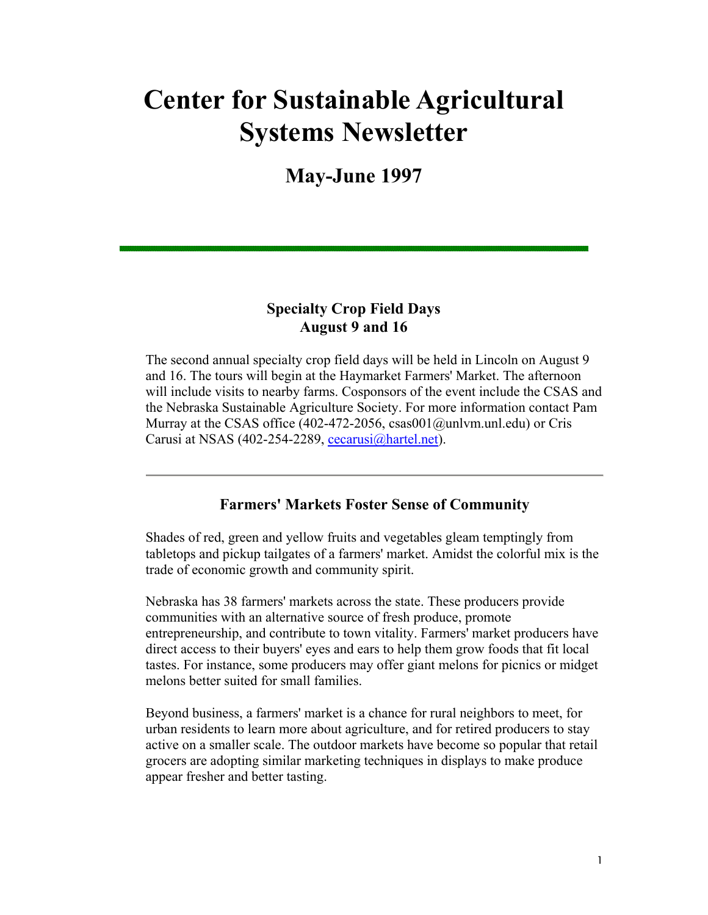# **Center for Sustainable Agricultural Systems Newsletter**

**May-June 1997** 

# **Specialty Crop Field Days August 9 and 16**

The second annual specialty crop field days will be held in Lincoln on August 9 and 16. The tours will begin at the Haymarket Farmers' Market. The afternoon will include visits to nearby farms. Cosponsors of the event include the CSAS and the Nebraska Sustainable Agriculture Society. For more information contact Pam Murray at the CSAS office (402-472-2056, csas001@unlym.unl.edu) or Cris Carusi at NSAS (402-254-2289, cecarusi@hartel.net).

#### **Farmers' Markets Foster Sense of Community**

Shades of red, green and yellow fruits and vegetables gleam temptingly from tabletops and pickup tailgates of a farmers' market. Amidst the colorful mix is the trade of economic growth and community spirit.

Nebraska has 38 farmers' markets across the state. These producers provide communities with an alternative source of fresh produce, promote entrepreneurship, and contribute to town vitality. Farmers' market producers have direct access to their buyers' eyes and ears to help them grow foods that fit local tastes. For instance, some producers may offer giant melons for picnics or midget melons better suited for small families.

Beyond business, a farmers' market is a chance for rural neighbors to meet, for urban residents to learn more about agriculture, and for retired producers to stay active on a smaller scale. The outdoor markets have become so popular that retail grocers are adopting similar marketing techniques in displays to make produce appear fresher and better tasting.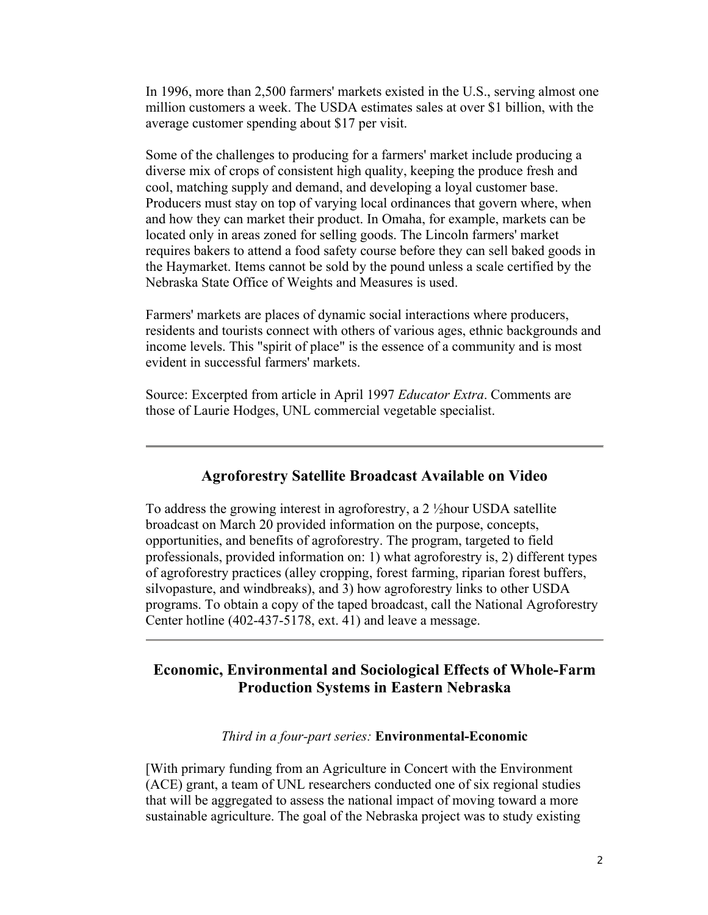In 1996, more than 2,500 farmers' markets existed in the U.S., serving almost one million customers a week. The USDA estimates sales at over \$1 billion, with the average customer spending about \$17 per visit.

Some of the challenges to producing for a farmers' market include producing a diverse mix of crops of consistent high quality, keeping the produce fresh and cool, matching supply and demand, and developing a loyal customer base. Producers must stay on top of varying local ordinances that govern where, when and how they can market their product. In Omaha, for example, markets can be located only in areas zoned for selling goods. The Lincoln farmers' market requires bakers to attend a food safety course before they can sell baked goods in the Haymarket. Items cannot be sold by the pound unless a scale certified by the Nebraska State Office of Weights and Measures is used.

Farmers' markets are places of dynamic social interactions where producers, residents and tourists connect with others of various ages, ethnic backgrounds and income levels. This "spirit of place" is the essence of a community and is most evident in successful farmers' markets.

Source: Excerpted from article in April 1997 *Educator Extra*. Comments are those of Laurie Hodges, UNL commercial vegetable specialist.

#### **Agroforestry Satellite Broadcast Available on Video**

To address the growing interest in agroforestry, a 2 ½hour USDA satellite broadcast on March 20 provided information on the purpose, concepts, opportunities, and benefits of agroforestry. The program, targeted to field professionals, provided information on: 1) what agroforestry is, 2) different types of agroforestry practices (alley cropping, forest farming, riparian forest buffers, silvopasture, and windbreaks), and 3) how agroforestry links to other USDA programs. To obtain a copy of the taped broadcast, call the National Agroforestry Center hotline (402-437-5178, ext. 41) and leave a message.

# **Economic, Environmental and Sociological Effects of Whole-Farm Production Systems in Eastern Nebraska**

#### *Third in a four-part series:* **Environmental-Economic**

[With primary funding from an Agriculture in Concert with the Environment (ACE) grant, a team of UNL researchers conducted one of six regional studies that will be aggregated to assess the national impact of moving toward a more sustainable agriculture. The goal of the Nebraska project was to study existing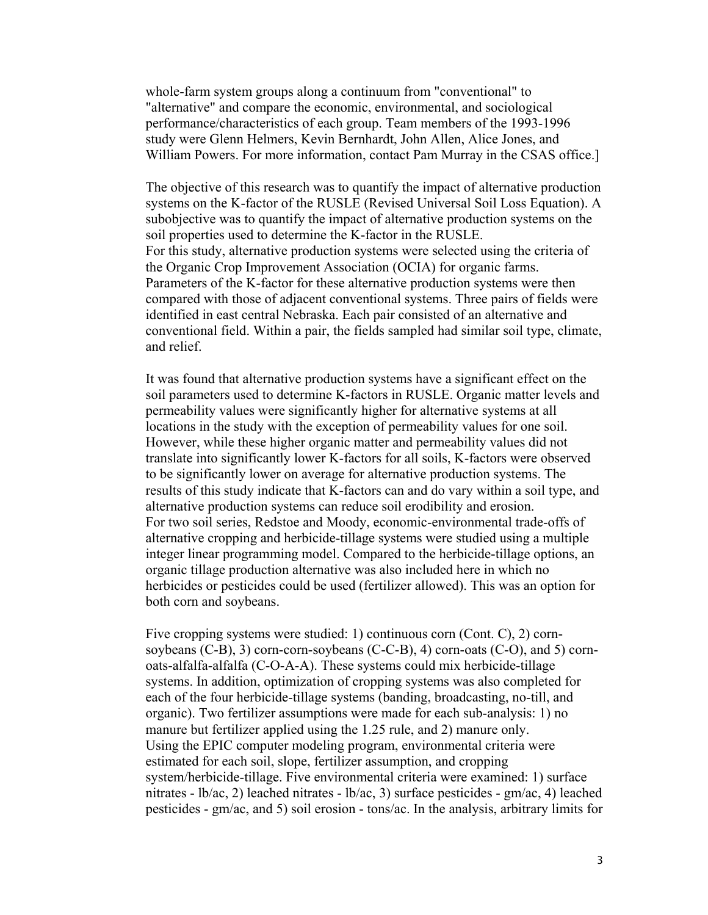whole-farm system groups along a continuum from "conventional" to "alternative" and compare the economic, environmental, and sociological performance/characteristics of each group. Team members of the 1993-1996 study were Glenn Helmers, Kevin Bernhardt, John Allen, Alice Jones, and William Powers. For more information, contact Pam Murray in the CSAS office.]

The objective of this research was to quantify the impact of alternative production systems on the K-factor of the RUSLE (Revised Universal Soil Loss Equation). A subobjective was to quantify the impact of alternative production systems on the soil properties used to determine the K-factor in the RUSLE. For this study, alternative production systems were selected using the criteria of the Organic Crop Improvement Association (OCIA) for organic farms. Parameters of the K-factor for these alternative production systems were then compared with those of adjacent conventional systems. Three pairs of fields were identified in east central Nebraska. Each pair consisted of an alternative and conventional field. Within a pair, the fields sampled had similar soil type, climate, and relief.

It was found that alternative production systems have a significant effect on the soil parameters used to determine K-factors in RUSLE. Organic matter levels and permeability values were significantly higher for alternative systems at all locations in the study with the exception of permeability values for one soil. However, while these higher organic matter and permeability values did not translate into significantly lower K-factors for all soils, K-factors were observed to be significantly lower on average for alternative production systems. The results of this study indicate that K-factors can and do vary within a soil type, and alternative production systems can reduce soil erodibility and erosion. For two soil series, Redstoe and Moody, economic-environmental trade-offs of alternative cropping and herbicide-tillage systems were studied using a multiple integer linear programming model. Compared to the herbicide-tillage options, an organic tillage production alternative was also included here in which no herbicides or pesticides could be used (fertilizer allowed). This was an option for both corn and soybeans.

Five cropping systems were studied: 1) continuous corn (Cont. C), 2) cornsoybeans (C-B), 3) corn-corn-soybeans (C-C-B), 4) corn-oats (C-O), and 5) cornoats-alfalfa-alfalfa (C-O-A-A). These systems could mix herbicide-tillage systems. In addition, optimization of cropping systems was also completed for each of the four herbicide-tillage systems (banding, broadcasting, no-till, and organic). Two fertilizer assumptions were made for each sub-analysis: 1) no manure but fertilizer applied using the 1.25 rule, and 2) manure only. Using the EPIC computer modeling program, environmental criteria were estimated for each soil, slope, fertilizer assumption, and cropping system/herbicide-tillage. Five environmental criteria were examined: 1) surface nitrates - lb/ac, 2) leached nitrates - lb/ac, 3) surface pesticides - gm/ac, 4) leached pesticides - gm/ac, and 5) soil erosion - tons/ac. In the analysis, arbitrary limits for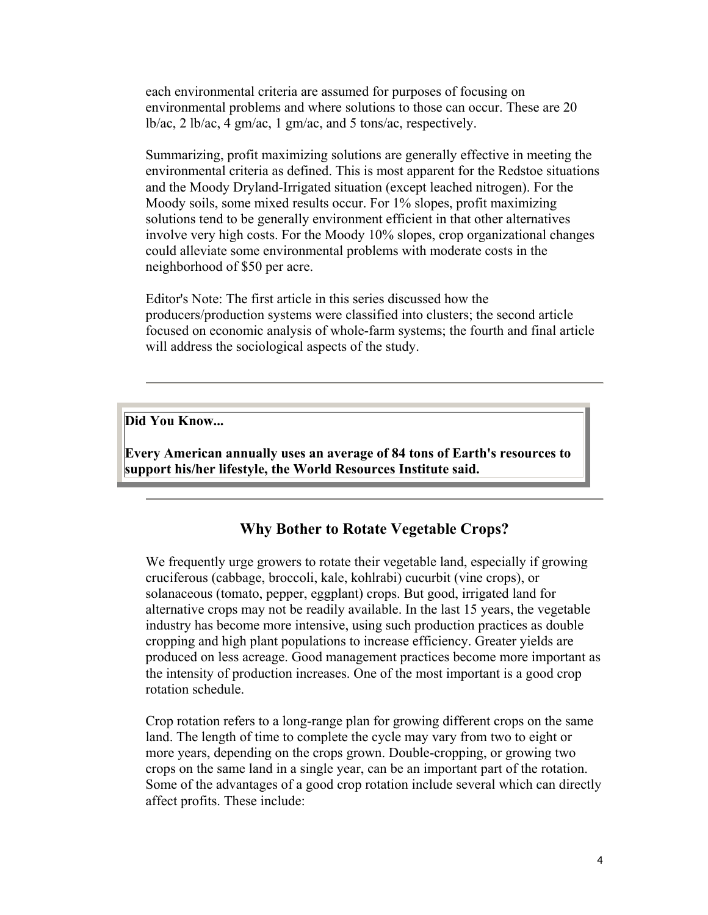each environmental criteria are assumed for purposes of focusing on environmental problems and where solutions to those can occur. These are 20 lb/ac, 2 lb/ac, 4 gm/ac, 1 gm/ac, and 5 tons/ac, respectively.

Summarizing, profit maximizing solutions are generally effective in meeting the environmental criteria as defined. This is most apparent for the Redstoe situations and the Moody Dryland-Irrigated situation (except leached nitrogen). For the Moody soils, some mixed results occur. For 1% slopes, profit maximizing solutions tend to be generally environment efficient in that other alternatives involve very high costs. For the Moody 10% slopes, crop organizational changes could alleviate some environmental problems with moderate costs in the neighborhood of \$50 per acre.

Editor's Note: The first article in this series discussed how the producers/production systems were classified into clusters; the second article focused on economic analysis of whole-farm systems; the fourth and final article will address the sociological aspects of the study.

#### **Did You Know...**

**Every American annually uses an average of 84 tons of Earth's resources to support his/her lifestyle, the World Resources Institute said.** 

#### **Why Bother to Rotate Vegetable Crops?**

We frequently urge growers to rotate their vegetable land, especially if growing cruciferous (cabbage, broccoli, kale, kohlrabi) cucurbit (vine crops), or solanaceous (tomato, pepper, eggplant) crops. But good, irrigated land for alternative crops may not be readily available. In the last 15 years, the vegetable industry has become more intensive, using such production practices as double cropping and high plant populations to increase efficiency. Greater yields are produced on less acreage. Good management practices become more important as the intensity of production increases. One of the most important is a good crop rotation schedule.

Crop rotation refers to a long-range plan for growing different crops on the same land. The length of time to complete the cycle may vary from two to eight or more years, depending on the crops grown. Double-cropping, or growing two crops on the same land in a single year, can be an important part of the rotation. Some of the advantages of a good crop rotation include several which can directly affect profits. These include: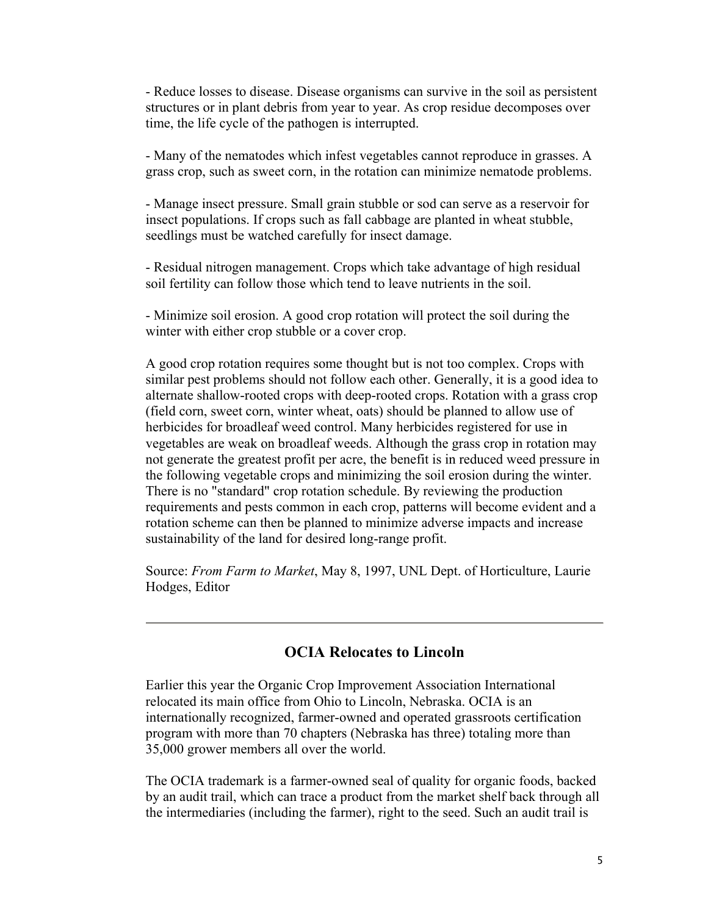- Reduce losses to disease. Disease organisms can survive in the soil as persistent structures or in plant debris from year to year. As crop residue decomposes over time, the life cycle of the pathogen is interrupted.

- Many of the nematodes which infest vegetables cannot reproduce in grasses. A grass crop, such as sweet corn, in the rotation can minimize nematode problems.

- Manage insect pressure. Small grain stubble or sod can serve as a reservoir for insect populations. If crops such as fall cabbage are planted in wheat stubble, seedlings must be watched carefully for insect damage.

- Residual nitrogen management. Crops which take advantage of high residual soil fertility can follow those which tend to leave nutrients in the soil.

- Minimize soil erosion. A good crop rotation will protect the soil during the winter with either crop stubble or a cover crop.

A good crop rotation requires some thought but is not too complex. Crops with similar pest problems should not follow each other. Generally, it is a good idea to alternate shallow-rooted crops with deep-rooted crops. Rotation with a grass crop (field corn, sweet corn, winter wheat, oats) should be planned to allow use of herbicides for broadleaf weed control. Many herbicides registered for use in vegetables are weak on broadleaf weeds. Although the grass crop in rotation may not generate the greatest profit per acre, the benefit is in reduced weed pressure in the following vegetable crops and minimizing the soil erosion during the winter. There is no "standard" crop rotation schedule. By reviewing the production requirements and pests common in each crop, patterns will become evident and a rotation scheme can then be planned to minimize adverse impacts and increase sustainability of the land for desired long-range profit.

Source: *From Farm to Market*, May 8, 1997, UNL Dept. of Horticulture, Laurie Hodges, Editor

#### **OCIA Relocates to Lincoln**

Earlier this year the Organic Crop Improvement Association International relocated its main office from Ohio to Lincoln, Nebraska. OCIA is an internationally recognized, farmer-owned and operated grassroots certification program with more than 70 chapters (Nebraska has three) totaling more than 35,000 grower members all over the world.

The OCIA trademark is a farmer-owned seal of quality for organic foods, backed by an audit trail, which can trace a product from the market shelf back through all the intermediaries (including the farmer), right to the seed. Such an audit trail is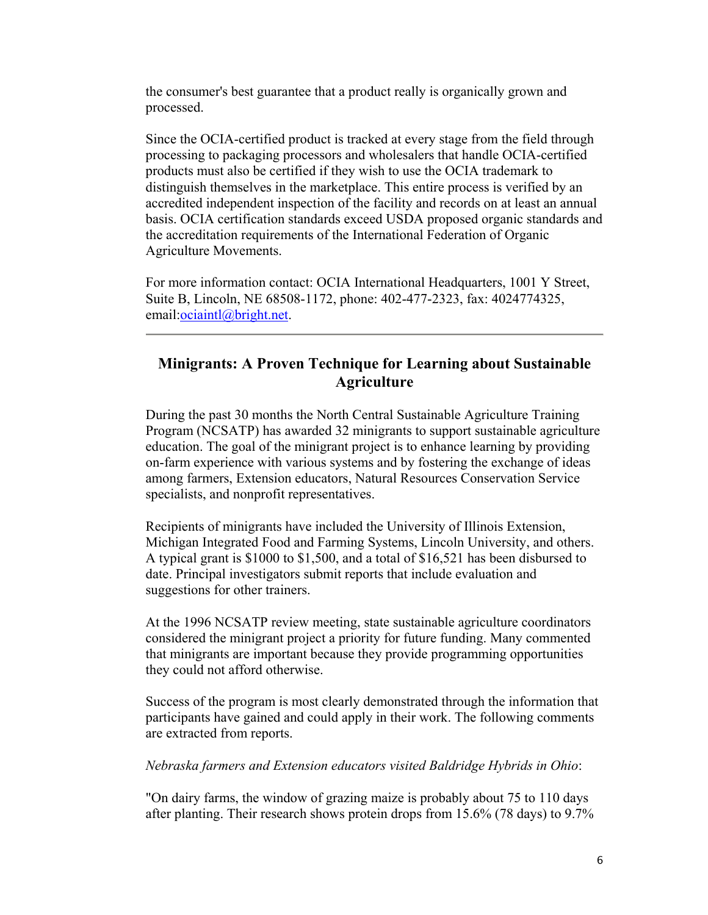the consumer's best guarantee that a product really is organically grown and processed.

Since the OCIA-certified product is tracked at every stage from the field through processing to packaging processors and wholesalers that handle OCIA-certified products must also be certified if they wish to use the OCIA trademark to distinguish themselves in the marketplace. This entire process is verified by an accredited independent inspection of the facility and records on at least an annual basis. OCIA certification standards exceed USDA proposed organic standards and the accreditation requirements of the International Federation of Organic Agriculture Movements.

For more information contact: OCIA International Headquarters, 1001 Y Street, Suite B, Lincoln, NE 68508-1172, phone: 402-477-2323, fax: 4024774325, email: ociaintl@bright.net.

# **Minigrants: A Proven Technique for Learning about Sustainable Agriculture**

During the past 30 months the North Central Sustainable Agriculture Training Program (NCSATP) has awarded 32 minigrants to support sustainable agriculture education. The goal of the minigrant project is to enhance learning by providing on-farm experience with various systems and by fostering the exchange of ideas among farmers, Extension educators, Natural Resources Conservation Service specialists, and nonprofit representatives.

Recipients of minigrants have included the University of Illinois Extension, Michigan Integrated Food and Farming Systems, Lincoln University, and others. A typical grant is \$1000 to \$1,500, and a total of \$16,521 has been disbursed to date. Principal investigators submit reports that include evaluation and suggestions for other trainers.

At the 1996 NCSATP review meeting, state sustainable agriculture coordinators considered the minigrant project a priority for future funding. Many commented that minigrants are important because they provide programming opportunities they could not afford otherwise.

Success of the program is most clearly demonstrated through the information that participants have gained and could apply in their work. The following comments are extracted from reports.

*Nebraska farmers and Extension educators visited Baldridge Hybrids in Ohio*:

"On dairy farms, the window of grazing maize is probably about 75 to 110 days after planting. Their research shows protein drops from 15.6% (78 days) to 9.7%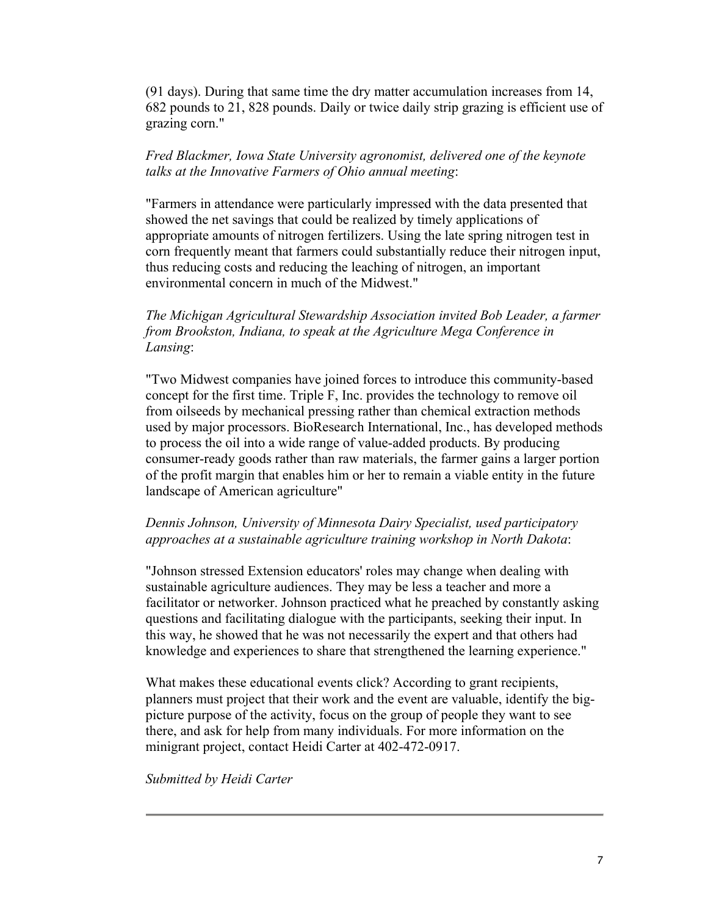(91 days). During that same time the dry matter accumulation increases from 14, 682 pounds to 21, 828 pounds. Daily or twice daily strip grazing is efficient use of grazing corn."

#### *Fred Blackmer, Iowa State University agronomist, delivered one of the keynote talks at the Innovative Farmers of Ohio annual meeting*:

"Farmers in attendance were particularly impressed with the data presented that showed the net savings that could be realized by timely applications of appropriate amounts of nitrogen fertilizers. Using the late spring nitrogen test in corn frequently meant that farmers could substantially reduce their nitrogen input, thus reducing costs and reducing the leaching of nitrogen, an important environmental concern in much of the Midwest."

#### *The Michigan Agricultural Stewardship Association invited Bob Leader, a farmer from Brookston, Indiana, to speak at the Agriculture Mega Conference in Lansing*:

"Two Midwest companies have joined forces to introduce this community-based concept for the first time. Triple F, Inc. provides the technology to remove oil from oilseeds by mechanical pressing rather than chemical extraction methods used by major processors. BioResearch International, Inc., has developed methods to process the oil into a wide range of value-added products. By producing consumer-ready goods rather than raw materials, the farmer gains a larger portion of the profit margin that enables him or her to remain a viable entity in the future landscape of American agriculture"

#### *Dennis Johnson, University of Minnesota Dairy Specialist, used participatory approaches at a sustainable agriculture training workshop in North Dakota*:

"Johnson stressed Extension educators' roles may change when dealing with sustainable agriculture audiences. They may be less a teacher and more a facilitator or networker. Johnson practiced what he preached by constantly asking questions and facilitating dialogue with the participants, seeking their input. In this way, he showed that he was not necessarily the expert and that others had knowledge and experiences to share that strengthened the learning experience."

What makes these educational events click? According to grant recipients, planners must project that their work and the event are valuable, identify the bigpicture purpose of the activity, focus on the group of people they want to see there, and ask for help from many individuals. For more information on the minigrant project, contact Heidi Carter at 402-472-0917.

#### *Submitted by Heidi Carter*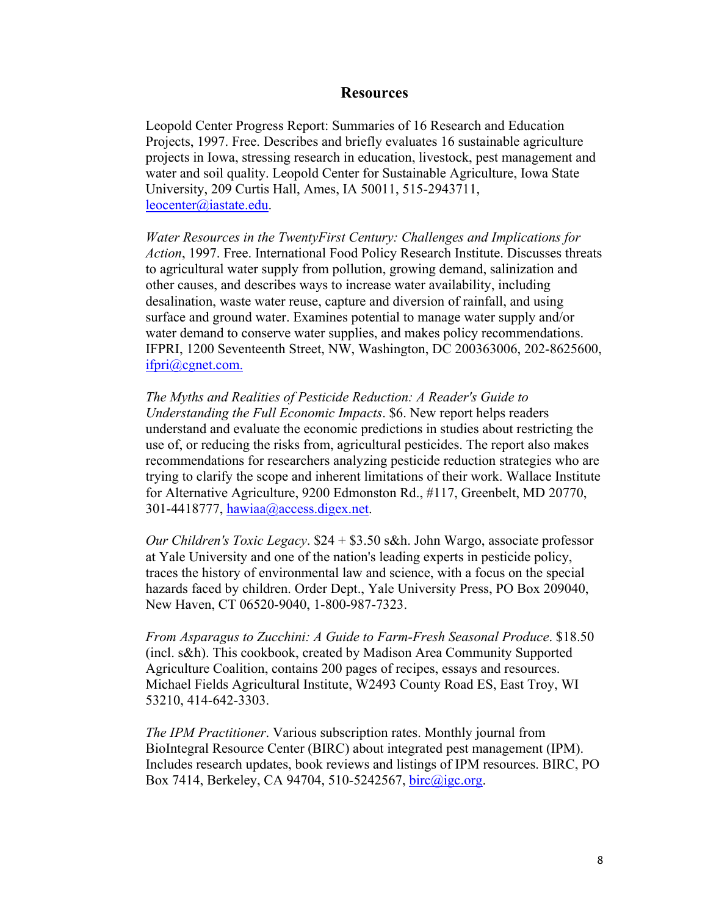#### **Resources**

Leopold Center Progress Report: Summaries of 16 Research and Education Projects, 1997. Free. Describes and briefly evaluates 16 sustainable agriculture projects in Iowa, stressing research in education, livestock, pest management and water and soil quality. Leopold Center for Sustainable Agriculture, Iowa State University, 209 Curtis Hall, Ames, IA 50011, 515-2943711, leocenter@iastate.edu.

*Water Resources in the TwentyFirst Century: Challenges and Implications for Action*, 1997. Free. International Food Policy Research Institute. Discusses threats to agricultural water supply from pollution, growing demand, salinization and other causes, and describes ways to increase water availability, including desalination, waste water reuse, capture and diversion of rainfall, and using surface and ground water. Examines potential to manage water supply and/or water demand to conserve water supplies, and makes policy recommendations. IFPRI, 1200 Seventeenth Street, NW, Washington, DC 200363006, 202-8625600, ifpri@cgnet.com.

*The Myths and Realities of Pesticide Reduction: A Reader's Guide to Understanding the Full Economic Impacts*. \$6. New report helps readers understand and evaluate the economic predictions in studies about restricting the use of, or reducing the risks from, agricultural pesticides. The report also makes recommendations for researchers analyzing pesticide reduction strategies who are trying to clarify the scope and inherent limitations of their work. Wallace Institute for Alternative Agriculture, 9200 Edmonston Rd., #117, Greenbelt, MD 20770, 301-4418777, hawiaa@access.digex.net.

*Our Children's Toxic Legacy*. \$24 + \$3.50 s&h. John Wargo, associate professor at Yale University and one of the nation's leading experts in pesticide policy, traces the history of environmental law and science, with a focus on the special hazards faced by children. Order Dept., Yale University Press, PO Box 209040, New Haven, CT 06520-9040, 1-800-987-7323.

*From Asparagus to Zucchini: A Guide to Farm-Fresh Seasonal Produce*. \$18.50 (incl. s&h). This cookbook, created by Madison Area Community Supported Agriculture Coalition, contains 200 pages of recipes, essays and resources. Michael Fields Agricultural Institute, W2493 County Road ES, East Troy, WI 53210, 414-642-3303.

*The IPM Practitioner*. Various subscription rates. Monthly journal from BioIntegral Resource Center (BIRC) about integrated pest management (IPM). Includes research updates, book reviews and listings of IPM resources. BIRC, PO Box 7414, Berkeley, CA 94704, 510-5242567, birc@igc.org.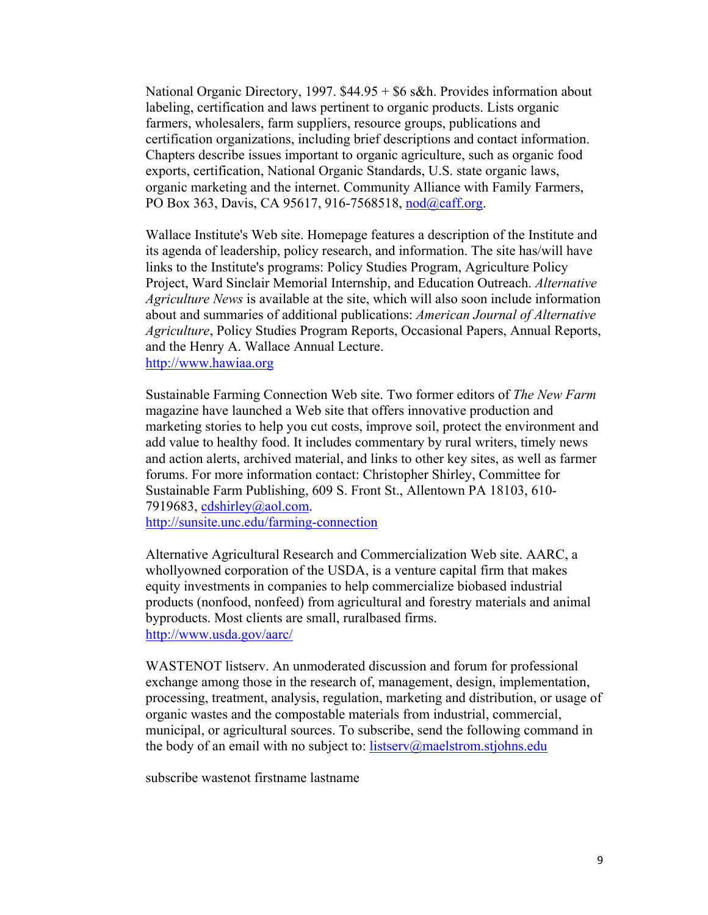National Organic Directory, 1997. \$44.95 + \$6 s&h. Provides information about labeling, certification and laws pertinent to organic products. Lists organic farmers, wholesalers, farm suppliers, resource groups, publications and certification organizations, including brief descriptions and contact information. Chapters describe issues important to organic agriculture, such as organic food exports, certification, National Organic Standards, U.S. state organic laws, organic marketing and the internet. Community Alliance with Family Farmers, PO Box 363, Davis, CA 95617, 916-7568518, nod@caff.org.

Wallace Institute's Web site. Homepage features a description of the Institute and its agenda of leadership, policy research, and information. The site has/will have links to the Institute's programs: Policy Studies Program, Agriculture Policy Project, Ward Sinclair Memorial Internship, and Education Outreach. *Alternative Agriculture News* is available at the site, which will also soon include information about and summaries of additional publications: *American Journal of Alternative Agriculture*, Policy Studies Program Reports, Occasional Papers, Annual Reports, and the Henry A. Wallace Annual Lecture. http://www.hawiaa.org

Sustainable Farming Connection Web site. Two former editors of *The New Farm* magazine have launched a Web site that offers innovative production and marketing stories to help you cut costs, improve soil, protect the environment and add value to healthy food. It includes commentary by rural writers, timely news and action alerts, archived material, and links to other key sites, as well as farmer forums. For more information contact: Christopher Shirley, Committee for Sustainable Farm Publishing, 609 S. Front St., Allentown PA 18103, 610- 7919683, cdshirley@aol.com.

http://sunsite.unc.edu/farming-connection

Alternative Agricultural Research and Commercialization Web site. AARC, a whollyowned corporation of the USDA, is a venture capital firm that makes equity investments in companies to help commercialize biobased industrial products (nonfood, nonfeed) from agricultural and forestry materials and animal byproducts. Most clients are small, ruralbased firms. http://www.usda.gov/aarc/

WASTENOT listserv. An unmoderated discussion and forum for professional exchange among those in the research of, management, design, implementation, processing, treatment, analysis, regulation, marketing and distribution, or usage of organic wastes and the compostable materials from industrial, commercial, municipal, or agricultural sources. To subscribe, send the following command in the body of an email with no subject to: listserv@maelstrom.stjohns.edu

subscribe wastenot firstname lastname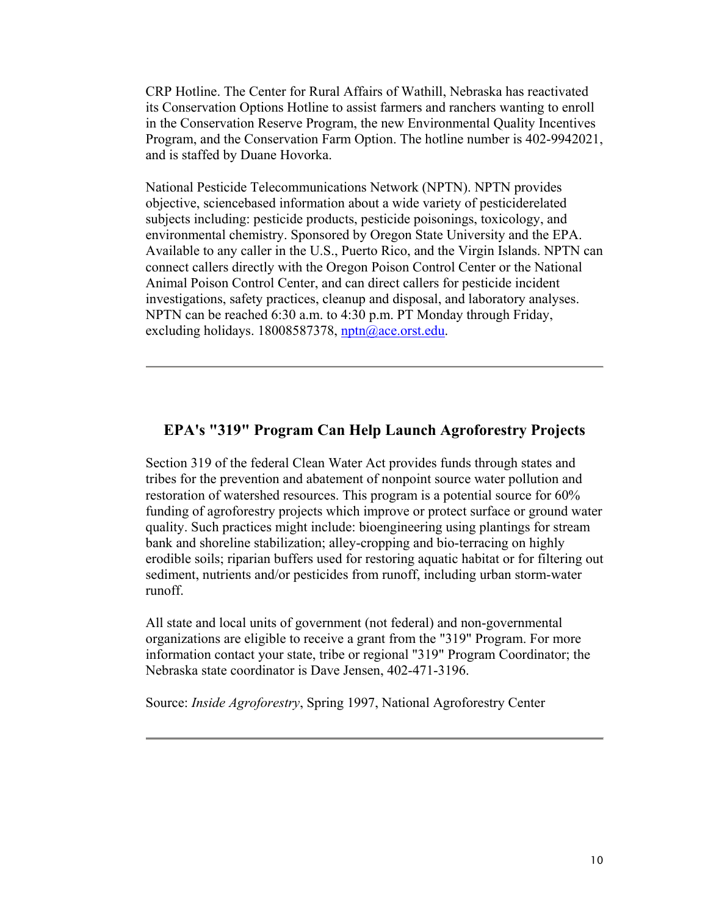CRP Hotline. The Center for Rural Affairs of Wathill, Nebraska has reactivated its Conservation Options Hotline to assist farmers and ranchers wanting to enroll in the Conservation Reserve Program, the new Environmental Quality Incentives Program, and the Conservation Farm Option. The hotline number is 402-9942021, and is staffed by Duane Hovorka.

National Pesticide Telecommunications Network (NPTN). NPTN provides objective, sciencebased information about a wide variety of pesticiderelated subjects including: pesticide products, pesticide poisonings, toxicology, and environmental chemistry. Sponsored by Oregon State University and the EPA. Available to any caller in the U.S., Puerto Rico, and the Virgin Islands. NPTN can connect callers directly with the Oregon Poison Control Center or the National Animal Poison Control Center, and can direct callers for pesticide incident investigations, safety practices, cleanup and disposal, and laboratory analyses. NPTN can be reached 6:30 a.m. to 4:30 p.m. PT Monday through Friday, excluding holidays. 18008587378, nptn@ace.orst.edu.

#### **EPA's "319" Program Can Help Launch Agroforestry Projects**

Section 319 of the federal Clean Water Act provides funds through states and tribes for the prevention and abatement of nonpoint source water pollution and restoration of watershed resources. This program is a potential source for 60% funding of agroforestry projects which improve or protect surface or ground water quality. Such practices might include: bioengineering using plantings for stream bank and shoreline stabilization; alley-cropping and bio-terracing on highly erodible soils; riparian buffers used for restoring aquatic habitat or for filtering out sediment, nutrients and/or pesticides from runoff, including urban storm-water runoff.

All state and local units of government (not federal) and non-governmental organizations are eligible to receive a grant from the "319" Program. For more information contact your state, tribe or regional "319" Program Coordinator; the Nebraska state coordinator is Dave Jensen, 402-471-3196.

Source: *Inside Agroforestry*, Spring 1997, National Agroforestry Center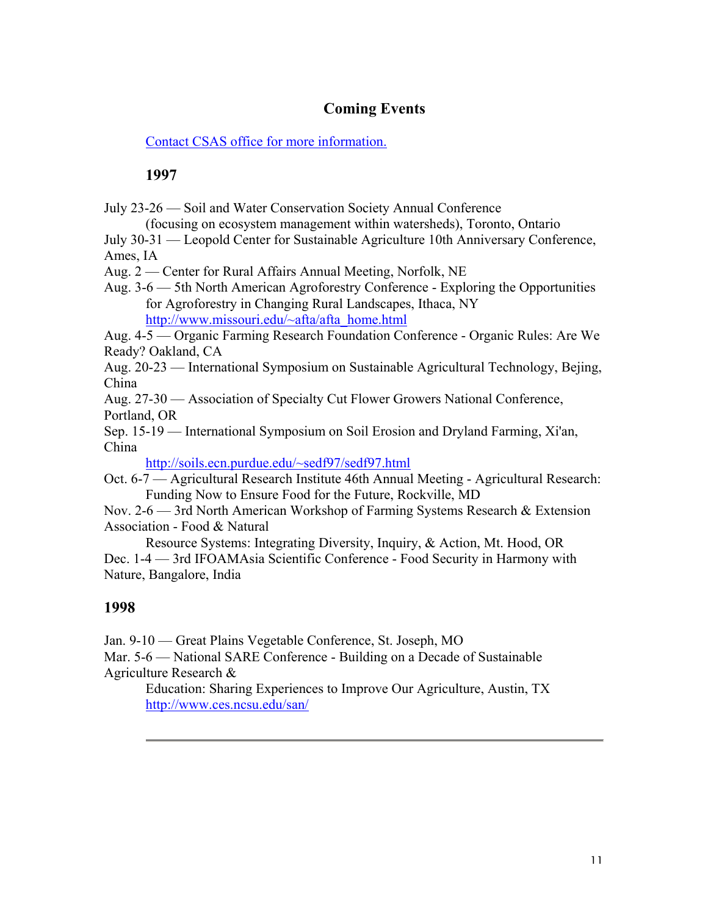# **Coming Events**

Contact CSAS office for more information.

**1997** 

July 23-26 — Soil and Water Conservation Society Annual Conference

(focusing on ecosystem management within watersheds), Toronto, Ontario

July 30-31 — Leopold Center for Sustainable Agriculture 10th Anniversary Conference, Ames, IA

Aug. 2 — Center for Rural Affairs Annual Meeting, Norfolk, NE

Aug. 3-6 — 5th North American Agroforestry Conference - Exploring the Opportunities for Agroforestry in Changing Rural Landscapes, Ithaca, NY http://www.missouri.edu/~afta/afta\_home.html

Aug. 4-5 — Organic Farming Research Foundation Conference - Organic Rules: Are We Ready? Oakland, CA

Aug. 20-23 — International Symposium on Sustainable Agricultural Technology, Bejing, China

Aug. 27-30 — Association of Specialty Cut Flower Growers National Conference, Portland, OR

Sep. 15-19 — International Symposium on Soil Erosion and Dryland Farming, Xi'an, China

http://soils.ecn.purdue.edu/~sedf97/sedf97.html

Oct. 6-7 — Agricultural Research Institute 46th Annual Meeting - Agricultural Research: Funding Now to Ensure Food for the Future, Rockville, MD

Nov. 2-6 — 3rd North American Workshop of Farming Systems Research & Extension Association - Food & Natural

Resource Systems: Integrating Diversity, Inquiry, & Action, Mt. Hood, OR Dec. 1-4 — 3rd IFOAMAsia Scientific Conference - Food Security in Harmony with Nature, Bangalore, India

# **1998**

Jan. 9-10 — Great Plains Vegetable Conference, St. Joseph, MO

Mar. 5-6 — National SARE Conference - Building on a Decade of Sustainable Agriculture Research &

Education: Sharing Experiences to Improve Our Agriculture, Austin, TX http://www.ces.ncsu.edu/san/